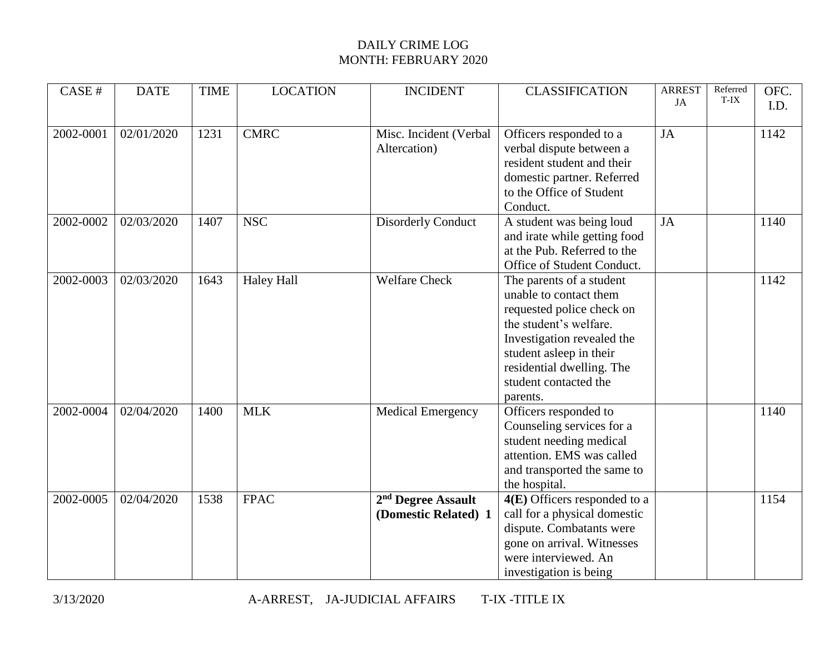| CASE #    | <b>DATE</b> | <b>TIME</b> | <b>LOCATION</b>   | <b>INCIDENT</b>                                        | <b>CLASSIFICATION</b>                                                                                                                                                                                                                | <b>ARREST</b><br>JA | Referred<br>T-IX | OFC. |
|-----------|-------------|-------------|-------------------|--------------------------------------------------------|--------------------------------------------------------------------------------------------------------------------------------------------------------------------------------------------------------------------------------------|---------------------|------------------|------|
|           |             |             |                   |                                                        |                                                                                                                                                                                                                                      |                     |                  | I.D. |
| 2002-0001 | 02/01/2020  | 1231        | <b>CMRC</b>       | Misc. Incident (Verbal<br>Altercation)                 | Officers responded to a<br>verbal dispute between a<br>resident student and their<br>domestic partner. Referred<br>to the Office of Student<br>Conduct.                                                                              | JA                  |                  | 1142 |
| 2002-0002 | 02/03/2020  | 1407        | <b>NSC</b>        | <b>Disorderly Conduct</b>                              | A student was being loud<br>and irate while getting food<br>at the Pub. Referred to the<br>Office of Student Conduct.                                                                                                                | JA                  |                  | 1140 |
| 2002-0003 | 02/03/2020  | 1643        | <b>Haley Hall</b> | <b>Welfare Check</b>                                   | The parents of a student<br>unable to contact them<br>requested police check on<br>the student's welfare.<br>Investigation revealed the<br>student asleep in their<br>residential dwelling. The<br>student contacted the<br>parents. |                     |                  | 1142 |
| 2002-0004 | 02/04/2020  | 1400        | <b>MLK</b>        | Medical Emergency                                      | Officers responded to<br>Counseling services for a<br>student needing medical<br>attention. EMS was called<br>and transported the same to<br>the hospital.                                                                           |                     |                  | 1140 |
| 2002-0005 | 02/04/2020  | 1538        | <b>FPAC</b>       | 2 <sup>nd</sup> Degree Assault<br>(Domestic Related) 1 | $4(E)$ Officers responded to a<br>call for a physical domestic<br>dispute. Combatants were<br>gone on arrival. Witnesses<br>were interviewed. An<br>investigation is being                                                           |                     |                  | 1154 |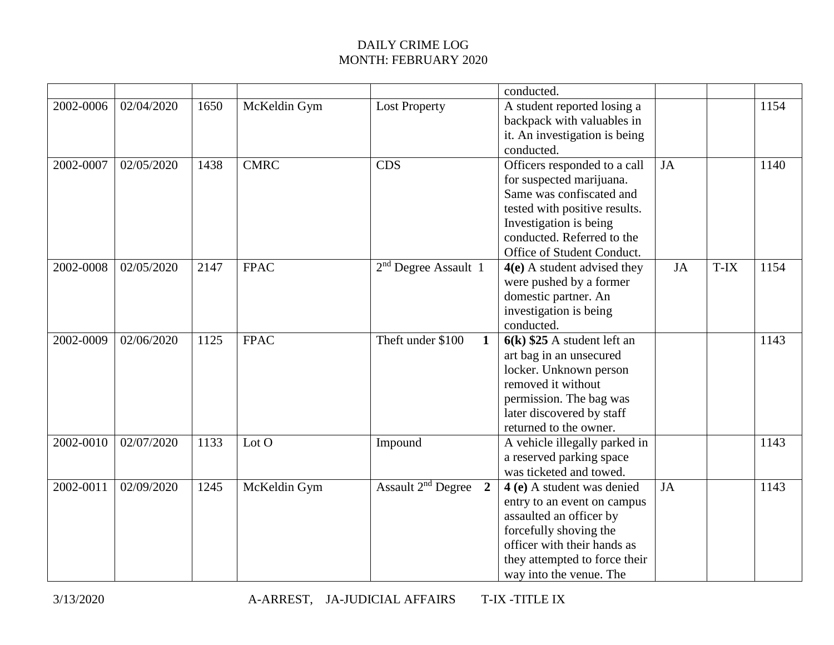|           |            |      |              |                                                           | conducted.                                                                                                                                                                                                  |           |      |      |
|-----------|------------|------|--------------|-----------------------------------------------------------|-------------------------------------------------------------------------------------------------------------------------------------------------------------------------------------------------------------|-----------|------|------|
| 2002-0006 | 02/04/2020 | 1650 | McKeldin Gym | <b>Lost Property</b>                                      | A student reported losing a<br>backpack with valuables in<br>it. An investigation is being<br>conducted.                                                                                                    |           |      | 1154 |
| 2002-0007 | 02/05/2020 | 1438 | <b>CMRC</b>  | <b>CDS</b>                                                | Officers responded to a call<br>for suspected marijuana.<br>Same was confiscated and<br>tested with positive results.<br>Investigation is being<br>conducted. Referred to the<br>Office of Student Conduct. | <b>JA</b> |      | 1140 |
| 2002-0008 | 02/05/2020 | 2147 | <b>FPAC</b>  | $2nd$ Degree Assault 1                                    | $4(e)$ A student advised they<br>were pushed by a former<br>domestic partner. An<br>investigation is being<br>conducted.                                                                                    | JA        | T-IX | 1154 |
| 2002-0009 | 02/06/2020 | 1125 | <b>FPAC</b>  | Theft under \$100<br>$\mathbf{1}$                         | $6(k)$ \$25 A student left an<br>art bag in an unsecured<br>locker. Unknown person<br>removed it without<br>permission. The bag was<br>later discovered by staff<br>returned to the owner.                  |           |      | 1143 |
| 2002-0010 | 02/07/2020 | 1133 | Lot O        | Impound                                                   | A vehicle illegally parked in<br>a reserved parking space<br>was ticketed and towed.                                                                                                                        |           |      | 1143 |
| 2002-0011 | 02/09/2020 | 1245 | McKeldin Gym | Assault 2 <sup>nd</sup> Degree<br>$\overline{\mathbf{2}}$ | 4 (e) A student was denied<br>entry to an event on campus<br>assaulted an officer by<br>forcefully shoving the<br>officer with their hands as<br>they attempted to force their<br>way into the venue. The   | JA        |      | 1143 |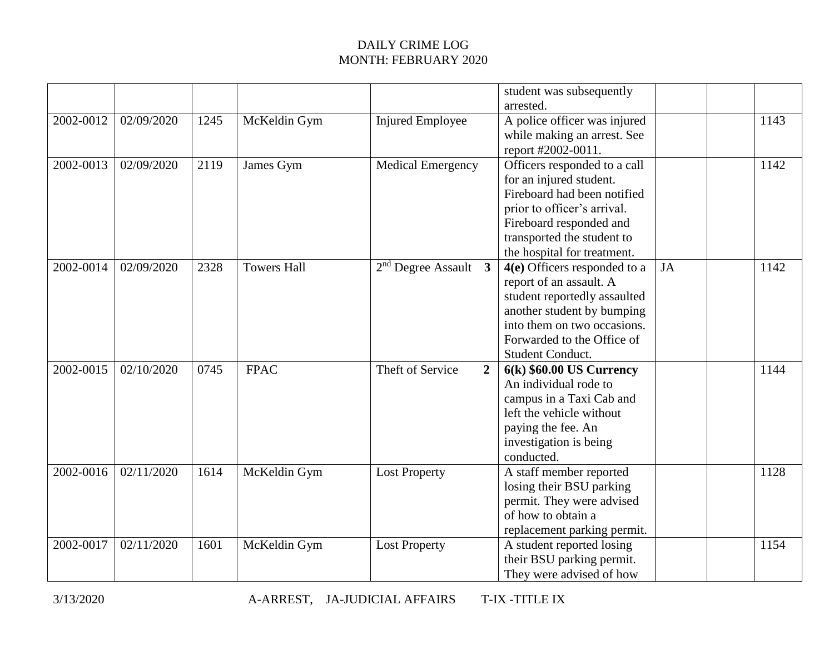|           |            |      |                    |                                    | student was subsequently<br>arrested.                                                                                                                                                                         |    |      |
|-----------|------------|------|--------------------|------------------------------------|---------------------------------------------------------------------------------------------------------------------------------------------------------------------------------------------------------------|----|------|
| 2002-0012 | 02/09/2020 | 1245 | McKeldin Gym       | <b>Injured Employee</b>            | A police officer was injured<br>while making an arrest. See<br>report #2002-0011.                                                                                                                             |    | 1143 |
| 2002-0013 | 02/09/2020 | 2119 | James Gym          | <b>Medical Emergency</b>           | Officers responded to a call<br>for an injured student.<br>Fireboard had been notified<br>prior to officer's arrival.<br>Fireboard responded and<br>transported the student to<br>the hospital for treatment. |    | 1142 |
| 2002-0014 | 02/09/2020 | 2328 | <b>Towers Hall</b> | $2nd$ Degree Assault 3             | 4(e) Officers responded to a<br>report of an assault. A<br>student reportedly assaulted<br>another student by bumping<br>into them on two occasions.<br>Forwarded to the Office of<br>Student Conduct.        | JA | 1142 |
| 2002-0015 | 02/10/2020 | 0745 | <b>FPAC</b>        | Theft of Service<br>$\overline{2}$ | $6(k)$ \$60.00 US Currency<br>An individual rode to<br>campus in a Taxi Cab and<br>left the vehicle without<br>paying the fee. An<br>investigation is being<br>conducted.                                     |    | 1144 |
| 2002-0016 | 02/11/2020 | 1614 | McKeldin Gym       | <b>Lost Property</b>               | A staff member reported<br>losing their BSU parking<br>permit. They were advised<br>of how to obtain a<br>replacement parking permit.                                                                         |    | 1128 |
| 2002-0017 | 02/11/2020 | 1601 | McKeldin Gym       | <b>Lost Property</b>               | A student reported losing<br>their BSU parking permit.<br>They were advised of how                                                                                                                            |    | 1154 |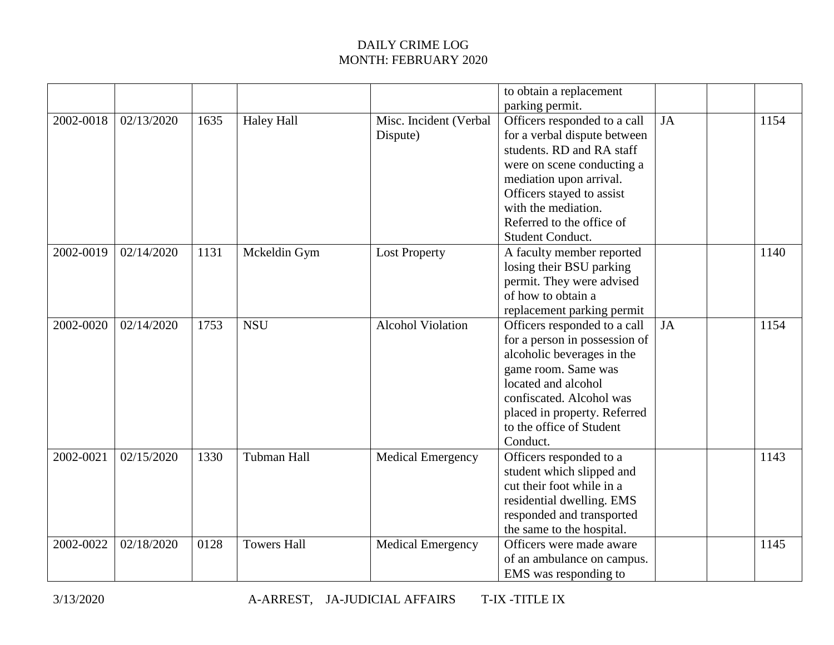|           |            |      |                    |                          | to obtain a replacement       |           |      |
|-----------|------------|------|--------------------|--------------------------|-------------------------------|-----------|------|
|           |            |      |                    |                          | parking permit.               |           |      |
| 2002-0018 | 02/13/2020 | 1635 | <b>Haley Hall</b>  | Misc. Incident (Verbal   | Officers responded to a call  | <b>JA</b> | 1154 |
|           |            |      |                    | Dispute)                 | for a verbal dispute between  |           |      |
|           |            |      |                    |                          | students. RD and RA staff     |           |      |
|           |            |      |                    |                          | were on scene conducting a    |           |      |
|           |            |      |                    |                          | mediation upon arrival.       |           |      |
|           |            |      |                    |                          | Officers stayed to assist     |           |      |
|           |            |      |                    |                          | with the mediation.           |           |      |
|           |            |      |                    |                          | Referred to the office of     |           |      |
|           |            |      |                    |                          | Student Conduct.              |           |      |
| 2002-0019 | 02/14/2020 | 1131 | Mckeldin Gym       | <b>Lost Property</b>     | A faculty member reported     |           | 1140 |
|           |            |      |                    |                          | losing their BSU parking      |           |      |
|           |            |      |                    |                          | permit. They were advised     |           |      |
|           |            |      |                    |                          | of how to obtain a            |           |      |
|           |            |      |                    |                          | replacement parking permit    |           |      |
| 2002-0020 | 02/14/2020 | 1753 | <b>NSU</b>         | <b>Alcohol Violation</b> | Officers responded to a call  | <b>JA</b> | 1154 |
|           |            |      |                    |                          | for a person in possession of |           |      |
|           |            |      |                    |                          | alcoholic beverages in the    |           |      |
|           |            |      |                    |                          | game room. Same was           |           |      |
|           |            |      |                    |                          | located and alcohol           |           |      |
|           |            |      |                    |                          | confiscated. Alcohol was      |           |      |
|           |            |      |                    |                          | placed in property. Referred  |           |      |
|           |            |      |                    |                          | to the office of Student      |           |      |
|           |            |      |                    |                          | Conduct.                      |           |      |
| 2002-0021 | 02/15/2020 | 1330 | Tubman Hall        | <b>Medical Emergency</b> | Officers responded to a       |           | 1143 |
|           |            |      |                    |                          | student which slipped and     |           |      |
|           |            |      |                    |                          | cut their foot while in a     |           |      |
|           |            |      |                    |                          | residential dwelling. EMS     |           |      |
|           |            |      |                    |                          | responded and transported     |           |      |
|           |            |      |                    |                          | the same to the hospital.     |           |      |
| 2002-0022 | 02/18/2020 | 0128 | <b>Towers Hall</b> | <b>Medical Emergency</b> | Officers were made aware      |           | 1145 |
|           |            |      |                    |                          | of an ambulance on campus.    |           |      |
|           |            |      |                    |                          | EMS was responding to         |           |      |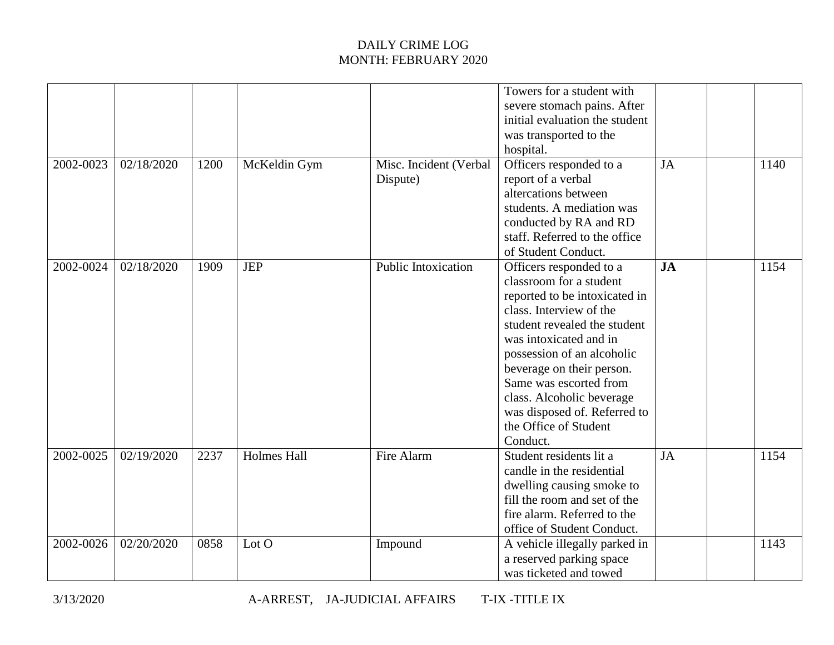| 2002-0023 | 02/18/2020 | 1200 | McKeldin Gym       | Misc. Incident (Verbal<br>Dispute) | Towers for a student with<br>severe stomach pains. After<br>initial evaluation the student<br>was transported to the<br>hospital.<br>Officers responded to a<br>report of a verbal<br>altercations between<br>students. A mediation was<br>conducted by RA and RD                                                                                               | <b>JA</b> | 1140 |
|-----------|------------|------|--------------------|------------------------------------|-----------------------------------------------------------------------------------------------------------------------------------------------------------------------------------------------------------------------------------------------------------------------------------------------------------------------------------------------------------------|-----------|------|
|           |            |      |                    |                                    | staff. Referred to the office<br>of Student Conduct.                                                                                                                                                                                                                                                                                                            |           |      |
| 2002-0024 | 02/18/2020 | 1909 | <b>JEP</b>         | Public Intoxication                | Officers responded to a<br>classroom for a student<br>reported to be intoxicated in<br>class. Interview of the<br>student revealed the student<br>was intoxicated and in<br>possession of an alcoholic<br>beverage on their person.<br>Same was escorted from<br>class. Alcoholic beverage<br>was disposed of. Referred to<br>the Office of Student<br>Conduct. | JA        | 1154 |
| 2002-0025 | 02/19/2020 | 2237 | <b>Holmes Hall</b> | Fire Alarm                         | Student residents lit a<br>candle in the residential<br>dwelling causing smoke to<br>fill the room and set of the<br>fire alarm. Referred to the<br>office of Student Conduct.                                                                                                                                                                                  | JA        | 1154 |
| 2002-0026 | 02/20/2020 | 0858 | Lot O              | Impound                            | A vehicle illegally parked in<br>a reserved parking space<br>was ticketed and towed                                                                                                                                                                                                                                                                             |           | 1143 |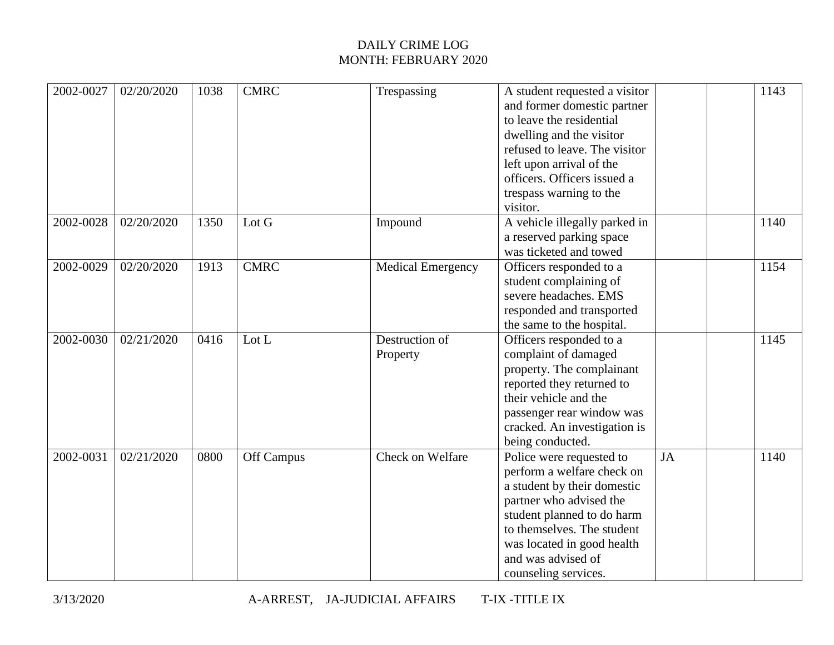| 2002-0027 | 02/20/2020 | 1038 | <b>CMRC</b> | Trespassing              | A student requested a visitor |    | 1143 |
|-----------|------------|------|-------------|--------------------------|-------------------------------|----|------|
|           |            |      |             |                          | and former domestic partner   |    |      |
|           |            |      |             |                          | to leave the residential      |    |      |
|           |            |      |             |                          | dwelling and the visitor      |    |      |
|           |            |      |             |                          | refused to leave. The visitor |    |      |
|           |            |      |             |                          | left upon arrival of the      |    |      |
|           |            |      |             |                          | officers. Officers issued a   |    |      |
|           |            |      |             |                          | trespass warning to the       |    |      |
|           |            |      |             |                          | visitor.                      |    |      |
| 2002-0028 | 02/20/2020 | 1350 | Lot G       | Impound                  | A vehicle illegally parked in |    | 1140 |
|           |            |      |             |                          | a reserved parking space      |    |      |
|           |            |      |             |                          | was ticketed and towed        |    |      |
| 2002-0029 | 02/20/2020 | 1913 | <b>CMRC</b> | <b>Medical Emergency</b> | Officers responded to a       |    | 1154 |
|           |            |      |             |                          | student complaining of        |    |      |
|           |            |      |             |                          | severe headaches. EMS         |    |      |
|           |            |      |             |                          | responded and transported     |    |      |
|           |            |      |             |                          | the same to the hospital.     |    |      |
| 2002-0030 | 02/21/2020 | 0416 | Lot L       | Destruction of           | Officers responded to a       |    | 1145 |
|           |            |      |             | Property                 | complaint of damaged          |    |      |
|           |            |      |             |                          | property. The complainant     |    |      |
|           |            |      |             |                          | reported they returned to     |    |      |
|           |            |      |             |                          | their vehicle and the         |    |      |
|           |            |      |             |                          | passenger rear window was     |    |      |
|           |            |      |             |                          | cracked. An investigation is  |    |      |
|           |            |      |             |                          | being conducted.              |    |      |
| 2002-0031 | 02/21/2020 | 0800 | Off Campus  | Check on Welfare         | Police were requested to      | JA | 1140 |
|           |            |      |             |                          | perform a welfare check on    |    |      |
|           |            |      |             |                          | a student by their domestic   |    |      |
|           |            |      |             |                          | partner who advised the       |    |      |
|           |            |      |             |                          | student planned to do harm    |    |      |
|           |            |      |             |                          | to themselves. The student    |    |      |
|           |            |      |             |                          | was located in good health    |    |      |
|           |            |      |             |                          | and was advised of            |    |      |
|           |            |      |             |                          | counseling services.          |    |      |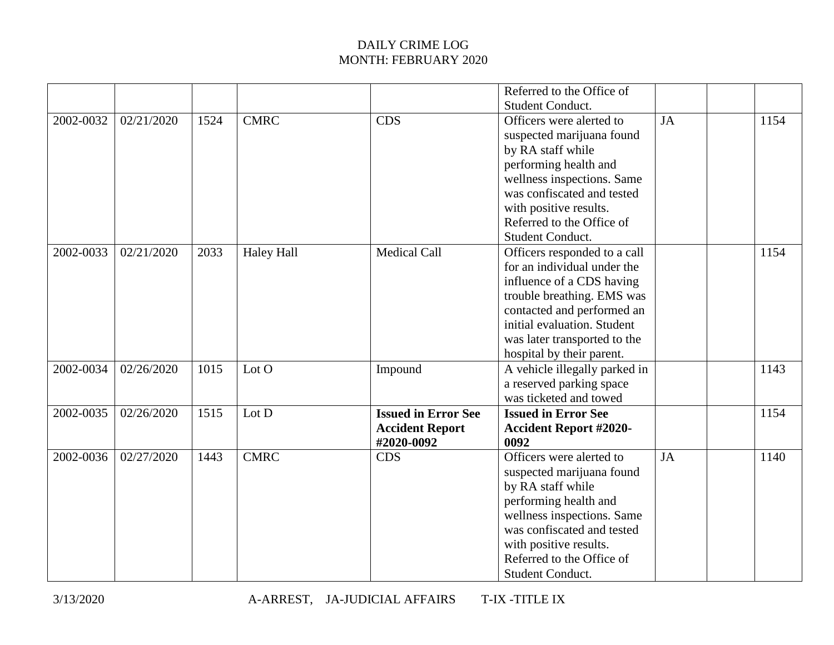|      |                      |                                                                   | Referred to the Office of                                                                            |                                                                                                                                                                                                                                                                                                                                                                                                                                                                                                                                                                                                                                                                                    |           |      |
|------|----------------------|-------------------------------------------------------------------|------------------------------------------------------------------------------------------------------|------------------------------------------------------------------------------------------------------------------------------------------------------------------------------------------------------------------------------------------------------------------------------------------------------------------------------------------------------------------------------------------------------------------------------------------------------------------------------------------------------------------------------------------------------------------------------------------------------------------------------------------------------------------------------------|-----------|------|
|      |                      |                                                                   |                                                                                                      |                                                                                                                                                                                                                                                                                                                                                                                                                                                                                                                                                                                                                                                                                    |           |      |
|      |                      |                                                                   |                                                                                                      |                                                                                                                                                                                                                                                                                                                                                                                                                                                                                                                                                                                                                                                                                    |           | 1154 |
|      |                      |                                                                   |                                                                                                      |                                                                                                                                                                                                                                                                                                                                                                                                                                                                                                                                                                                                                                                                                    |           |      |
|      |                      |                                                                   |                                                                                                      |                                                                                                                                                                                                                                                                                                                                                                                                                                                                                                                                                                                                                                                                                    |           |      |
|      |                      |                                                                   | performing health and                                                                                |                                                                                                                                                                                                                                                                                                                                                                                                                                                                                                                                                                                                                                                                                    |           |      |
|      |                      |                                                                   | wellness inspections. Same                                                                           |                                                                                                                                                                                                                                                                                                                                                                                                                                                                                                                                                                                                                                                                                    |           |      |
|      |                      |                                                                   | was confiscated and tested                                                                           |                                                                                                                                                                                                                                                                                                                                                                                                                                                                                                                                                                                                                                                                                    |           |      |
|      |                      |                                                                   |                                                                                                      |                                                                                                                                                                                                                                                                                                                                                                                                                                                                                                                                                                                                                                                                                    |           |      |
|      |                      |                                                                   |                                                                                                      |                                                                                                                                                                                                                                                                                                                                                                                                                                                                                                                                                                                                                                                                                    |           |      |
|      |                      |                                                                   |                                                                                                      |                                                                                                                                                                                                                                                                                                                                                                                                                                                                                                                                                                                                                                                                                    |           |      |
|      |                      |                                                                   |                                                                                                      |                                                                                                                                                                                                                                                                                                                                                                                                                                                                                                                                                                                                                                                                                    |           | 1154 |
|      |                      |                                                                   |                                                                                                      |                                                                                                                                                                                                                                                                                                                                                                                                                                                                                                                                                                                                                                                                                    |           |      |
|      |                      |                                                                   |                                                                                                      |                                                                                                                                                                                                                                                                                                                                                                                                                                                                                                                                                                                                                                                                                    |           |      |
|      |                      |                                                                   |                                                                                                      |                                                                                                                                                                                                                                                                                                                                                                                                                                                                                                                                                                                                                                                                                    |           |      |
|      |                      |                                                                   |                                                                                                      |                                                                                                                                                                                                                                                                                                                                                                                                                                                                                                                                                                                                                                                                                    |           |      |
|      |                      |                                                                   |                                                                                                      |                                                                                                                                                                                                                                                                                                                                                                                                                                                                                                                                                                                                                                                                                    |           |      |
|      |                      |                                                                   |                                                                                                      |                                                                                                                                                                                                                                                                                                                                                                                                                                                                                                                                                                                                                                                                                    |           |      |
|      |                      |                                                                   |                                                                                                      |                                                                                                                                                                                                                                                                                                                                                                                                                                                                                                                                                                                                                                                                                    |           |      |
|      |                      |                                                                   |                                                                                                      |                                                                                                                                                                                                                                                                                                                                                                                                                                                                                                                                                                                                                                                                                    |           |      |
|      |                      |                                                                   |                                                                                                      |                                                                                                                                                                                                                                                                                                                                                                                                                                                                                                                                                                                                                                                                                    |           | 1143 |
|      |                      |                                                                   |                                                                                                      |                                                                                                                                                                                                                                                                                                                                                                                                                                                                                                                                                                                                                                                                                    |           |      |
|      |                      |                                                                   |                                                                                                      |                                                                                                                                                                                                                                                                                                                                                                                                                                                                                                                                                                                                                                                                                    |           |      |
| 1515 |                      |                                                                   |                                                                                                      |                                                                                                                                                                                                                                                                                                                                                                                                                                                                                                                                                                                                                                                                                    |           | 1154 |
|      |                      |                                                                   |                                                                                                      |                                                                                                                                                                                                                                                                                                                                                                                                                                                                                                                                                                                                                                                                                    |           |      |
|      |                      | #2020-0092                                                        | 0092                                                                                                 |                                                                                                                                                                                                                                                                                                                                                                                                                                                                                                                                                                                                                                                                                    |           |      |
| 1443 |                      | <b>CDS</b>                                                        | Officers were alerted to                                                                             | <b>JA</b>                                                                                                                                                                                                                                                                                                                                                                                                                                                                                                                                                                                                                                                                          |           | 1140 |
|      |                      |                                                                   | suspected marijuana found                                                                            |                                                                                                                                                                                                                                                                                                                                                                                                                                                                                                                                                                                                                                                                                    |           |      |
|      |                      |                                                                   | by RA staff while                                                                                    |                                                                                                                                                                                                                                                                                                                                                                                                                                                                                                                                                                                                                                                                                    |           |      |
|      |                      |                                                                   |                                                                                                      |                                                                                                                                                                                                                                                                                                                                                                                                                                                                                                                                                                                                                                                                                    |           |      |
|      |                      |                                                                   |                                                                                                      |                                                                                                                                                                                                                                                                                                                                                                                                                                                                                                                                                                                                                                                                                    |           |      |
|      |                      |                                                                   | was confiscated and tested                                                                           |                                                                                                                                                                                                                                                                                                                                                                                                                                                                                                                                                                                                                                                                                    |           |      |
|      |                      |                                                                   |                                                                                                      |                                                                                                                                                                                                                                                                                                                                                                                                                                                                                                                                                                                                                                                                                    |           |      |
|      |                      |                                                                   | Referred to the Office of                                                                            |                                                                                                                                                                                                                                                                                                                                                                                                                                                                                                                                                                                                                                                                                    |           |      |
|      |                      |                                                                   | <b>Student Conduct.</b>                                                                              |                                                                                                                                                                                                                                                                                                                                                                                                                                                                                                                                                                                                                                                                                    |           |      |
|      | 1524<br>2033<br>1015 | <b>CMRC</b><br><b>Haley Hall</b><br>Lot O<br>Lot D<br><b>CMRC</b> | <b>CDS</b><br><b>Medical Call</b><br>Impound<br><b>Issued in Error See</b><br><b>Accident Report</b> | <b>Student Conduct.</b><br>Officers were alerted to<br>suspected marijuana found<br>by RA staff while<br>with positive results.<br>Referred to the Office of<br><b>Student Conduct.</b><br>Officers responded to a call<br>for an individual under the<br>influence of a CDS having<br>trouble breathing. EMS was<br>contacted and performed an<br>initial evaluation. Student<br>was later transported to the<br>hospital by their parent.<br>A vehicle illegally parked in<br>a reserved parking space<br>was ticketed and towed<br><b>Issued in Error See</b><br><b>Accident Report #2020-</b><br>performing health and<br>wellness inspections. Same<br>with positive results. | <b>JA</b> |      |